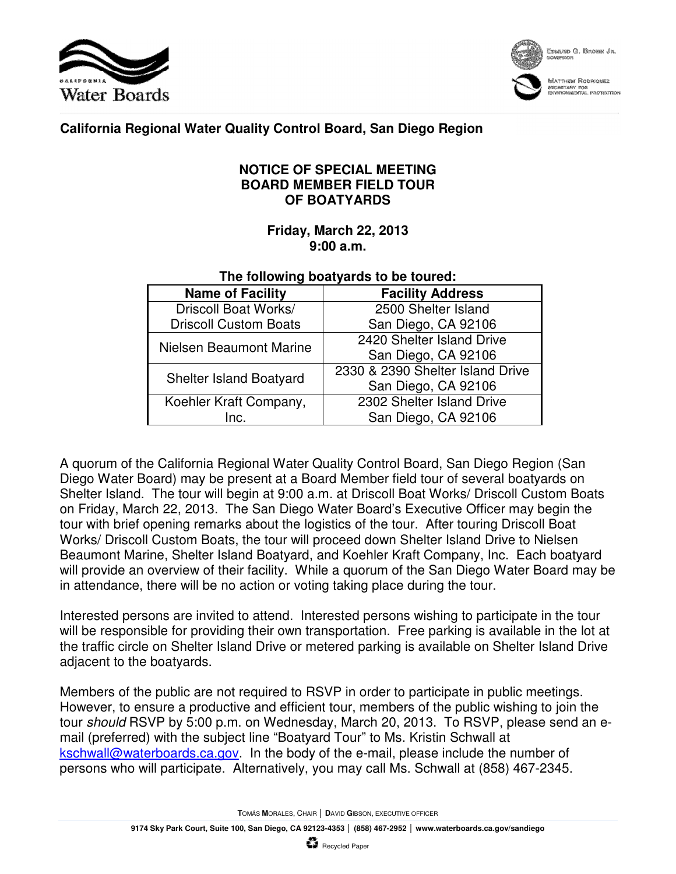



EDMUND G. BROWN JR.

**MATTHEW RODRIQUEZ** bechstany for<br>Environmental protection

## **California Regional Water Quality Control Board, San Diego Region**

## **NOTICE OF SPECIAL MEETING BOARD MEMBER FIELD TOUR OF BOATYARDS**

## **Friday, March 22, 2013 9:00 a.m.**

## **The following boatyards to be toured:**

| <b>Name of Facility</b>        | <b>Facility Address</b>          |
|--------------------------------|----------------------------------|
| Driscoll Boat Works/           | 2500 Shelter Island              |
| <b>Driscoll Custom Boats</b>   | San Diego, CA 92106              |
| Nielsen Beaumont Marine        | 2420 Shelter Island Drive        |
|                                | San Diego, CA 92106              |
| <b>Shelter Island Boatyard</b> | 2330 & 2390 Shelter Island Drive |
|                                | San Diego, CA 92106              |
| Koehler Kraft Company,         | 2302 Shelter Island Drive        |
| Inc.                           | San Diego, CA 92106              |

A quorum of the California Regional Water Quality Control Board, San Diego Region (San Diego Water Board) may be present at a Board Member field tour of several boatyards on Shelter Island. The tour will begin at 9:00 a.m. at Driscoll Boat Works/ Driscoll Custom Boats on Friday, March 22, 2013. The San Diego Water Board's Executive Officer may begin the tour with brief opening remarks about the logistics of the tour. After touring Driscoll Boat Works/ Driscoll Custom Boats, the tour will proceed down Shelter Island Drive to Nielsen Beaumont Marine, Shelter Island Boatyard, and Koehler Kraft Company, Inc. Each boatyard will provide an overview of their facility. While a quorum of the San Diego Water Board may be in attendance, there will be no action or voting taking place during the tour.

Interested persons are invited to attend. Interested persons wishing to participate in the tour will be responsible for providing their own transportation. Free parking is available in the lot at the traffic circle on Shelter Island Drive or metered parking is available on Shelter Island Drive adjacent to the boatyards.

Members of the public are not required to RSVP in order to participate in public meetings. However, to ensure a productive and efficient tour, members of the public wishing to join the tour should RSVP by 5:00 p.m. on Wednesday, March 20, 2013. To RSVP, please send an email (preferred) with the subject line "Boatyard Tour" to Ms. Kristin Schwall at kschwall@waterboards.ca.gov. In the body of the e-mail, please include the number of persons who will participate. Alternatively, you may call Ms. Schwall at (858) 467-2345.

**T**OMÁS **M**ORALES, CHAIR │ **D**AVID **G**IBSON, EXECUTIVE OFFICER